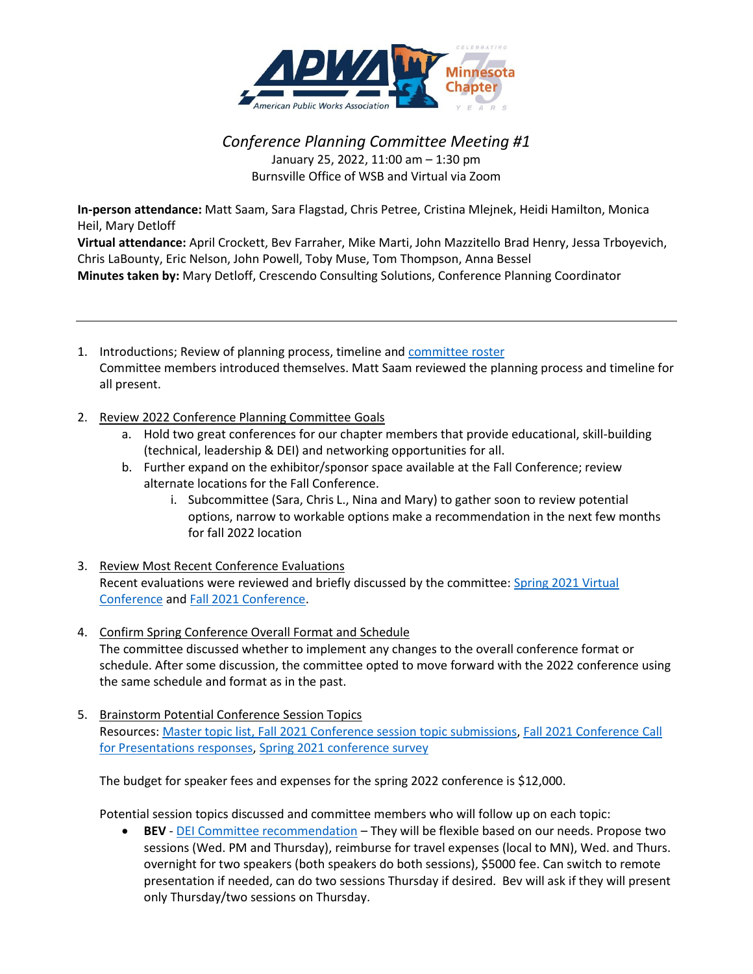

## *Conference Planning Committee Meeting #1* January 25, 2022, 11:00 am – 1:30 pm Burnsville Office of WSB and Virtual via Zoom

**In-person attendance:** Matt Saam, Sara Flagstad, Chris Petree, Cristina Mlejnek, Heidi Hamilton, Monica Heil, Mary Detloff

**Virtual attendance:** April Crockett, Bev Farraher, Mike Marti, John Mazzitello Brad Henry, Jessa Trboyevich, Chris LaBounty, Eric Nelson, John Powell, Toby Muse, Tom Thompson, Anna Bessel **Minutes taken by:** Mary Detloff, Crescendo Consulting Solutions, Conference Planning Coordinator

- 1. Introductions; Review of planning process, timeline and [committee roster](http://www.apwa-mn.org/membership/Committees/40) Committee members introduced themselves. Matt Saam reviewed the planning process and timeline for all present.
- 2. Review 2022 Conference Planning Committee Goals
	- a. Hold two great conferences for our chapter members that provide educational, skill-building (technical, leadership & DEI) and networking opportunities for all.
	- b. Further expand on the exhibitor/sponsor space available at the Fall Conference; review alternate locations for the Fall Conference.
		- i. Subcommittee (Sara, Chris L., Nina and Mary) to gather soon to review potential options, narrow to workable options make a recommendation in the next few months for fall 2022 location
- 3. Review Most Recent Conference Evaluations Recent evaluations were reviewed and briefly discussed by the committee: [Spring 2021 Virtual](https://1drv.ms/b/s!ArvesV_Xvo95lyrCyGhTQNu2MFty?e=0dLXs3)  [Conference](https://1drv.ms/b/s!ArvesV_Xvo95lyrCyGhTQNu2MFty?e=0dLXs3) and [Fall 2021 Conference.](https://bit.ly/3lI3urQ)
- 4. Confirm Spring Conference Overall Format and Schedule The committee discussed whether to implement any changes to the overall conference format or schedule. After some discussion, the committee opted to move forward with the 2022 conference using the same schedule and format as in the past.
- 5. Brainstorm Potential Conference Session Topics Resources: [Master topic list,](https://1drv.ms/x/s!ArvesV_Xvo95lj9Xz-iGUOA8xN6q?e=elSvcH) [Fall 2021 Conference session topic submissions,](https://1drv.ms/w/s!ArvesV_Xvo95p2CTo7nnkDOiHEpB?e=TCsTmw) [Fall 2021 Conference Call](https://1drv.ms/x/s!ArvesV_Xvo95lwt84x36G7U26D5g?e=rBndOn)  [for Presentations responses,](https://1drv.ms/x/s!ArvesV_Xvo95lwt84x36G7U26D5g?e=rBndOn) [Spring 2021 conference survey](https://onedrive.live.com/?authkey=%21AGafsayTFVjBIpw&cid=798FBED75FB1DEBB&id=798FBED75FB1DEBB%212873&parId=798FBED75FB1DEBB%21546&o=OneUp)

The budget for speaker fees and expenses for the spring 2022 conference is \$12,000.

Potential session topics discussed and committee members who will follow up on each topic:

• **BEV** - [DEI Committee recommendation](https://1drv.ms/b/s!ArvesV_Xvo95p3I0pYth34GFlw_i?e=GdbdR9) – They will be flexible based on our needs. Propose two sessions (Wed. PM and Thursday), reimburse for travel expenses (local to MN), Wed. and Thurs. overnight for two speakers (both speakers do both sessions), \$5000 fee. Can switch to remote presentation if needed, can do two sessions Thursday if desired. Bev will ask if they will present only Thursday/two sessions on Thursday.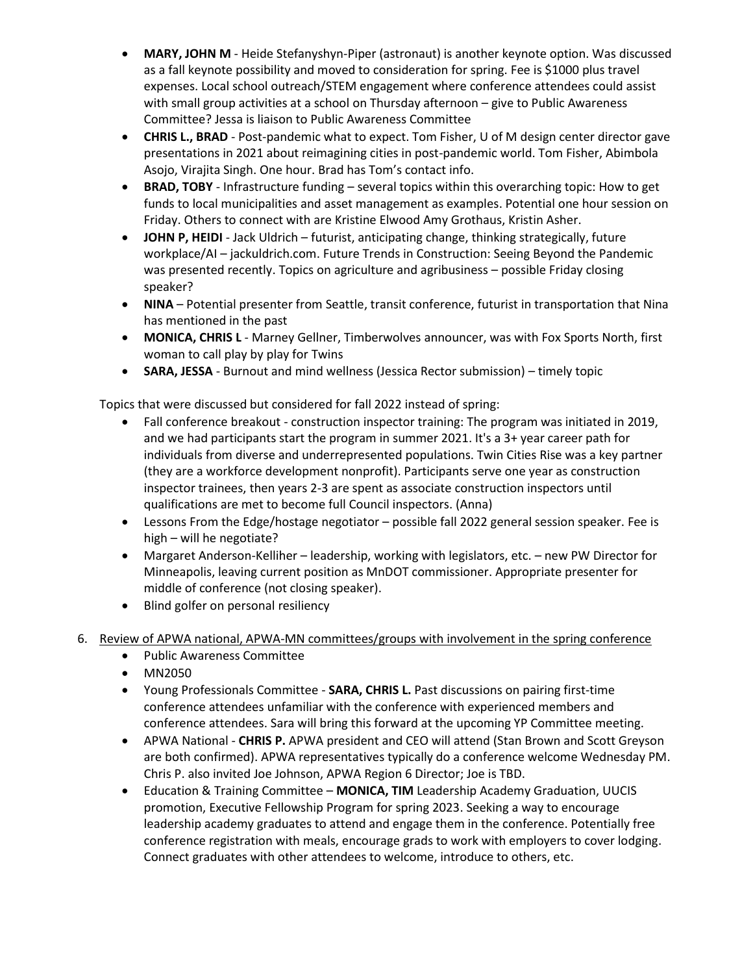- **MARY, JOHN M** Heide Stefanyshyn-Piper (astronaut) is another keynote option. Was discussed as a fall keynote possibility and moved to consideration for spring. Fee is \$1000 plus travel expenses. Local school outreach/STEM engagement where conference attendees could assist with small group activities at a school on Thursday afternoon – give to Public Awareness Committee? Jessa is liaison to Public Awareness Committee
- **CHRIS L., BRAD** Post-pandemic what to expect. Tom Fisher, U of M design center director gave presentations in 2021 about reimagining cities in post-pandemic world. Tom Fisher, Abimbola Asojo, Virajita Singh. One hour. Brad has Tom's contact info.
- **BRAD, TOBY** Infrastructure funding several topics within this overarching topic: How to get funds to local municipalities and asset management as examples. Potential one hour session on Friday. Others to connect with are Kristine Elwood Amy Grothaus, Kristin Asher.
- **JOHN P, HEIDI** Jack Uldrich futurist, anticipating change, thinking strategically, future workplace/AI – jackuldrich.com. Future Trends in Construction: Seeing Beyond the Pandemic was presented recently. Topics on agriculture and agribusiness – possible Friday closing speaker?
- **NINA**  Potential presenter from Seattle, transit conference, futurist in transportation that Nina has mentioned in the past
- **MONICA, CHRIS L** Marney Gellner, Timberwolves announcer, was with Fox Sports North, first woman to call play by play for Twins
- **SARA, JESSA** Burnout and mind wellness (Jessica Rector submission) timely topic

Topics that were discussed but considered for fall 2022 instead of spring:

- Fall conference breakout construction inspector training: The program was initiated in 2019, and we had participants start the program in summer 2021. It's a 3+ year career path for individuals from diverse and underrepresented populations. Twin Cities Rise was a key partner (they are a workforce development nonprofit). Participants serve one year as construction inspector trainees, then years 2-3 are spent as associate construction inspectors until qualifications are met to become full Council inspectors. (Anna)
- Lessons From the Edge/hostage negotiator possible fall 2022 general session speaker. Fee is high – will he negotiate?
- Margaret Anderson-Kelliher leadership, working with legislators, etc. new PW Director for Minneapolis, leaving current position as MnDOT commissioner. Appropriate presenter for middle of conference (not closing speaker).
- Blind golfer on personal resiliency
- 6. Review of APWA national, APWA-MN committees/groups with involvement in the spring conference
	- Public Awareness Committee
	- MN2050
	- Young Professionals Committee **SARA, CHRIS L.** Past discussions on pairing first-time conference attendees unfamiliar with the conference with experienced members and conference attendees. Sara will bring this forward at the upcoming YP Committee meeting.
	- APWA National **CHRIS P.** APWA president and CEO will attend (Stan Brown and Scott Greyson are both confirmed). APWA representatives typically do a conference welcome Wednesday PM. Chris P. also invited Joe Johnson, APWA Region 6 Director; Joe is TBD.
	- Education & Training Committee **MONICA, TIM** Leadership Academy Graduation, UUCIS promotion, Executive Fellowship Program for spring 2023. Seeking a way to encourage leadership academy graduates to attend and engage them in the conference. Potentially free conference registration with meals, encourage grads to work with employers to cover lodging. Connect graduates with other attendees to welcome, introduce to others, etc.